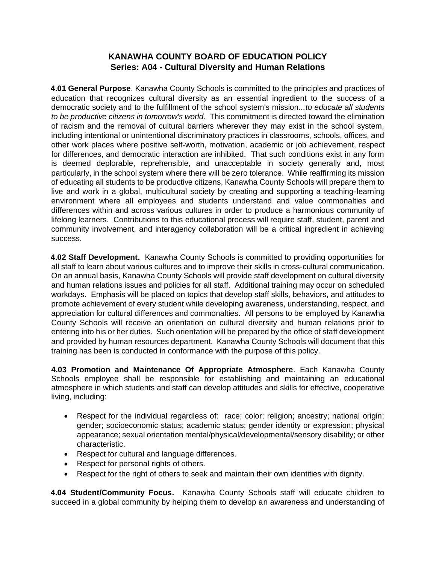## **KANAWHA COUNTY BOARD OF EDUCATION POLICY Series: A04 - Cultural Diversity and Human Relations**

**4.01 General Purpose**. Kanawha County Schools is committed to the principles and practices of education that recognizes cultural diversity as an essential ingredient to the success of a democratic society and to the fulfillment of the school system's mission...*to educate all students to be productive citizens in tomorrow's world.* This commitment is directed toward the elimination of racism and the removal of cultural barriers wherever they may exist in the school system, including intentional or unintentional discriminatory practices in classrooms, schools, offices, and other work places where positive self-worth, motivation, academic or job achievement, respect for differences, and democratic interaction are inhibited. That such conditions exist in any form is deemed deplorable, reprehensible, and unacceptable in society generally and, most particularly, in the school system where there will be zero tolerance. While reaffirming its mission of educating all students to be productive citizens, Kanawha County Schools will prepare them to live and work in a global, multicultural society by creating and supporting a teaching-learning environment where all employees and students understand and value commonalties and differences within and across various cultures in order to produce a harmonious community of lifelong learners. Contributions to this educational process will require staff, student, parent and community involvement, and interagency collaboration will be a critical ingredient in achieving success.

**4.02 Staff Development.** Kanawha County Schools is committed to providing opportunities for all staff to learn about various cultures and to improve their skills in cross-cultural communication. On an annual basis, Kanawha County Schools will provide staff development on cultural diversity and human relations issues and policies for all staff. Additional training may occur on scheduled workdays. Emphasis will be placed on topics that develop staff skills, behaviors, and attitudes to promote achievement of every student while developing awareness, understanding, respect, and appreciation for cultural differences and commonalties. All persons to be employed by Kanawha County Schools will receive an orientation on cultural diversity and human relations prior to entering into his or her duties. Such orientation will be prepared by the office of staff development and provided by human resources department. Kanawha County Schools will document that this training has been is conducted in conformance with the purpose of this policy.

**4.03 Promotion and Maintenance Of Appropriate Atmosphere**. Each Kanawha County Schools employee shall be responsible for establishing and maintaining an educational atmosphere in which students and staff can develop attitudes and skills for effective, cooperative living, including:

- Respect for the individual regardless of: race; color; religion; ancestry; national origin; gender; socioeconomic status; academic status; gender identity or expression; physical appearance; sexual orientation mental/physical/developmental/sensory disability; or other characteristic.
- Respect for cultural and language differences.
- Respect for personal rights of others.
- Respect for the right of others to seek and maintain their own identities with dignity.

**4.04 Student/Community Focus.** Kanawha County Schools staff will educate children to succeed in a global community by helping them to develop an awareness and understanding of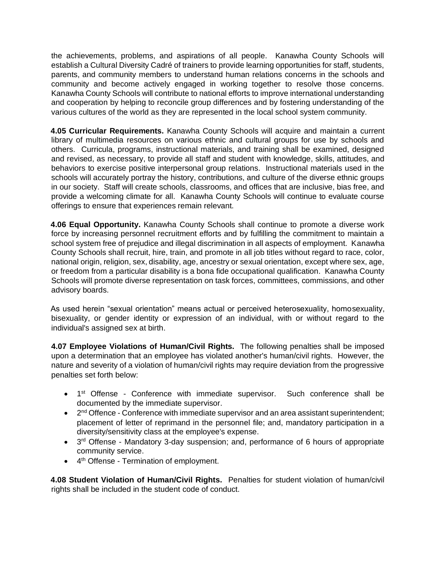the achievements, problems, and aspirations of all people. Kanawha County Schools will establish a Cultural Diversity Cadré of trainers to provide learning opportunities for staff, students, parents, and community members to understand human relations concerns in the schools and community and become actively engaged in working together to resolve those concerns. Kanawha County Schools will contribute to national efforts to improve international understanding and cooperation by helping to reconcile group differences and by fostering understanding of the various cultures of the world as they are represented in the local school system community.

**4.05 Curricular Requirements.** Kanawha County Schools will acquire and maintain a current library of multimedia resources on various ethnic and cultural groups for use by schools and others. Curricula, programs, instructional materials, and training shall be examined, designed and revised, as necessary, to provide all staff and student with knowledge, skills, attitudes, and behaviors to exercise positive interpersonal group relations. Instructional materials used in the schools will accurately portray the history, contributions, and culture of the diverse ethnic groups in our society. Staff will create schools, classrooms, and offices that are inclusive, bias free, and provide a welcoming climate for all. Kanawha County Schools will continue to evaluate course offerings to ensure that experiences remain relevant.

**4.06 Equal Opportunity.** Kanawha County Schools shall continue to promote a diverse work force by increasing personnel recruitment efforts and by fulfilling the commitment to maintain a school system free of prejudice and illegal discrimination in all aspects of employment. Kanawha County Schools shall recruit, hire, train, and promote in all job titles without regard to race, color, national origin, religion, sex, disability, age, ancestry or sexual orientation, except where sex, age, or freedom from a particular disability is a bona fide occupational qualification. Kanawha County Schools will promote diverse representation on task forces, committees, commissions, and other advisory boards.

As used herein "sexual orientation" means actual or perceived heterosexuality, homosexuality, bisexuality, or gender identity or expression of an individual, with or without regard to the individual's assigned sex at birth.

**4.07 Employee Violations of Human/Civil Rights.** The following penalties shall be imposed upon a determination that an employee has violated another's human/civil rights. However, the nature and severity of a violation of human/civil rights may require deviation from the progressive penalties set forth below:

- 1<sup>st</sup> Offense Conference with immediate supervisor. Such conference shall be documented by the immediate supervisor.
- $\bullet$   $2^{nd}$  Offence Conference with immediate supervisor and an area assistant superintendent; placement of letter of reprimand in the personnel file; and, mandatory participation in a diversity/sensitivity class at the employee's expense.
- 3<sup>rd</sup> Offense Mandatory 3-day suspension; and, performance of 6 hours of appropriate community service.
- 4<sup>th</sup> Offense Termination of employment.

**4.08 Student Violation of Human/Civil Rights.** Penalties for student violation of human/civil rights shall be included in the student code of conduct.